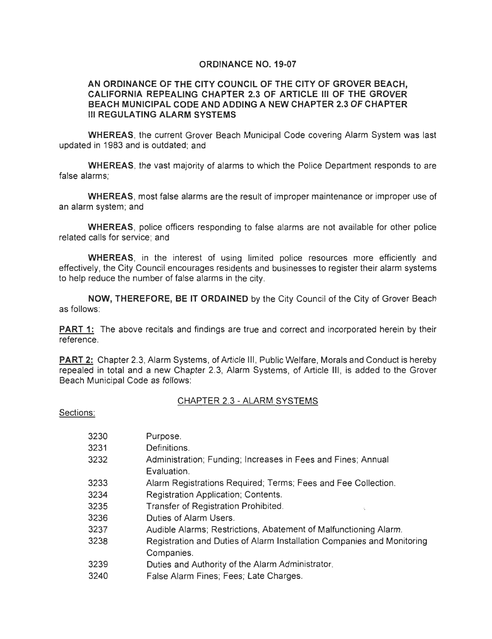#### **ORDINANCE NO. 19-07**

#### **AN ORDINANCE OF THE CITY COUNCIL OF THE CITY OF GROVER BEACH, CALIFORNIA REPEALING CHAPTER 2.3 OF ARTICLE Ill OF THE GROVER BEACH MUNICIPAL CODE AND ADDING A NEW CHAPTER 2.3 OF CHAPTER Ill REGULA TING ALARM SYSTEMS**

**WHEREAS,** the current Grover Beach Municipal Code covering Alarm System was last updated in 1983 and is outdated; and

**WHEREAS,** the vast majority of alarms to which the Police Department responds to are false alarms;

**WHEREAS,** most false alarms are the result of improper maintenance or improper use of an alarm system; and

**WHEREAS,** police officers responding to false alarms are not available for other police related calls for service; and

**WHEREAS,** in the interest of using limited police resources more efficiently and effectively, the City Council encourages residents and businesses to register their alarm systems to help reduce the number of false alarms in the city.

**NOW, THEREFORE, BE IT ORDAINED** by the City Council of the City of Grover Beach as follows:

**PART 1:** The above recitals and findings are true and correct and incorporated herein by their reference.

**PART 2:** Chapter 2.3, Alarm Systems, of Article Ill, Public Welfare, Morals and Conduct is hereby repealed in total and a new Chapter 2.3, Alarm Systems, of Article Ill, is added to the Grover Beach Municipal Code as follows:

#### CHAPTER 2.3 - ALARM SYSTEMS

Sections:

| 3230 | Purpose.                                                               |
|------|------------------------------------------------------------------------|
| 3231 | Definitions.                                                           |
| 3232 | Administration; Funding; Increases in Fees and Fines; Annual           |
|      | Evaluation.                                                            |
| 3233 | Alarm Registrations Required; Terms; Fees and Fee Collection.          |
| 3234 | Registration Application; Contents.                                    |
| 3235 | Transfer of Registration Prohibited.                                   |
| 3236 | Duties of Alarm Users.                                                 |
| 3237 | Audible Alarms; Restrictions, Abatement of Malfunctioning Alarm.       |
| 3238 | Registration and Duties of Alarm Installation Companies and Monitoring |
|      | Companies.                                                             |
| 3239 | Duties and Authority of the Alarm Administrator.                       |
| 3240 | False Alarm Fines; Fees; Late Charges.                                 |
|      |                                                                        |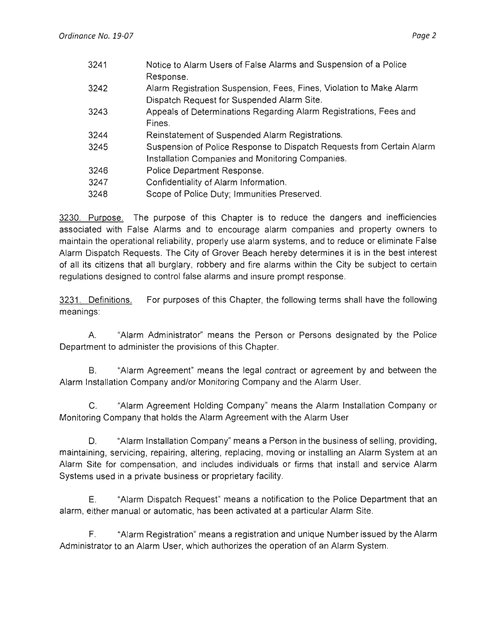| 3241 | Notice to Alarm Users of False Alarms and Suspension of a Police      |
|------|-----------------------------------------------------------------------|
|      | Response.                                                             |
| 3242 | Alarm Registration Suspension, Fees, Fines, Violation to Make Alarm   |
|      | Dispatch Request for Suspended Alarm Site.                            |
| 3243 | Appeals of Determinations Regarding Alarm Registrations, Fees and     |
|      | Fines.                                                                |
| 3244 | Reinstatement of Suspended Alarm Registrations.                       |
| 3245 | Suspension of Police Response to Dispatch Requests from Certain Alarm |
|      | Installation Companies and Monitoring Companies.                      |
| 3246 | Police Department Response.                                           |
| 3247 | Confidentiality of Alarm Information.                                 |
| 3248 | Scope of Police Duty; Immunities Preserved.                           |
|      |                                                                       |

3230. Purpose. The purpose of this Chapter is to reduce the dangers and inefficiencies associated with False Alarms and to encourage alarm companies and property owners to maintain the operational reliability, properly use alarm systems, and to reduce or eliminate False Alarm Dispatch Requests. The City of Grover Beach hereby determines it is in the best interest of all its citizens that all burglary, robbery and fire alarms within the City be subject to certain regulations designed to control false alarms and insure prompt response.

3231 . Definitions. meanings: For purposes of this Chapter, the following terms shall have the following

A "Alarm Administrator" means the Person or Persons designated by the Police Department to administer the provisions of this Chapter.

B. "Alarm Agreement" means the legal contract or agreement by and between the Alarm Installation Company and/or Monitoring Company and the Alarm User.

C. "Alarm Agreement Holding Company" means the Alarm Installation Company or Monitoring Company that holds the Alarm Agreement with the Alarm User

D. "Alarm Installation Company" means a Person in the business of selling, providing, maintaining, servicing, repairing, altering, replacing, moving or installing an Alarm System at an Alarm Site for compensation, and includes individuals or firms that install and service Alarm Systems used in a private business or proprietary facility.

E. "Alarm Dispatch Request" means a notification to the Police Department that an alarm, either manual or automatic, has been activated at a particular Alarm Site.

F. "Alarm Registration" means a registration and unique Number issued by the Alarm Administrator to an Alarm User, which authorizes the operation of an Alarm System.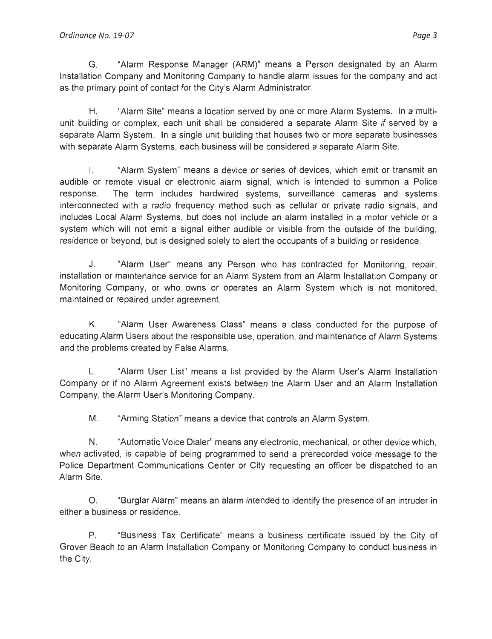#### Ordinance No. 19-07 **Pages** 3

G. "Alarm Response Manager (ARM)" means a Person designated by an Alarm Installation Company and Monitoring Company to handle alarm issues for the company and act as the primary point of contact for the City's Alarm Administrator.

H. "Alarm Site" means a location served by one or more Alarm Systems. In a multiunit building or complex, each unit shall be considered a separate Alarm Site if served by a separate Alarm System. In a single unit building that houses two or more separate businesses with separate Alarm Systems, each business will be considered a separate Alarm Site.

I. "Alarm System" means a device or series of devices, which emit or transmit an audible or remote visual or electronic alarm signal, which is intended to summon a Police response. The term includes hardwired systems, surveillance cameras and systems interconnected with a radio frequency method such as cellular or private radio signals, and includes Local Alarm Systems, but does not include an alarm installed in a motor vehicle or a system which will not emit a signal either audible or visible from the outside of the building, residence or beyond, but is designed solely to alert the occupants of a building or residence.

J. "Alarm User" means any Person who has contracted for Monitoring, repair, installation or maintenance service for an Alarm System from an Alarm Installation Company or Monitoring Company, or who owns or operates an Alarm System which is not monitored, maintained or repaired under agreement.

K. "Alarm User Awareness Class" means a class conducted for the purpose of educating Alarm Users about the responsible use, operation, and maintenance of Alarm Systems and the problems created by False Alarms.

L. "Alarm User List" means a list provided by the Alarm User's Alarm Installation Company or if no Alarm Agreement exists between the Alarm User and an Alarm Installation Company, the Alarm User's Monitoring Company.

M. "Arming Station" means a device that controls an Alarm System.

N. "Automatic Voice Dialer" means any electronic, mechanical, or other device which, when activated, is capable of being programmed to send a prerecorded voice message to the Police Department Communications Center or City requesting an officer be dispatched to an Alarm Site.

0 . "Burglar Alarm" means an alarm intended to identify the presence of an intruder in either a business or residence.

P. "Business Tax Certificate" means a business certificate issued by the City of Grover Beach to an Alarm Installation Company or Monitoring Company to conduct business in the City.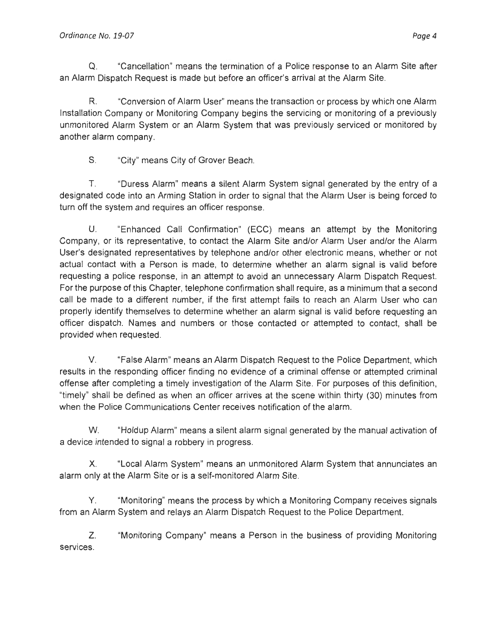Q . "Cancellation" means the termination of a Police response to an Alarm Site after an Alarm Dispatch Request is made but before an officer's arrival at the Alarm Site.

R. "Conversion of Alarm User" means the transaction or process by which one Alarm Installation Company or Monitoring Company begins the servicing or monitoring of a previously unmonitored Alarm System or an Alarm System that was previously serviced or monitored by another alarm company.

S. "City" means City of Grover Beach.

T. "Duress Alarm" means a silent Alarm System signal generated by the entry of a designated code into an Arming Station in order to signal that the Alarm User is being forced to turn off the system and requires an officer response.

U. "Enhanced Call Confirmation" (ECC) means an attempt by the Monitoring Company, or its representative, to contact the Alarm Site and/or Alarm User and/or the Alarm User's designated representatives by telephone and/or other electronic means, whether or not actual contact with a Person is made, to determine whether an alarm signal is valid before requesting a police response, in an attempt to avoid an unnecessary Alarm Dispatch Request. For the purpose of this Chapter, telephone confirmation shall require, as a minimum that a second call be made to a different number, if the first attempt fails to reach an Alarm User who can properly identify themselves to determine whether an alarm signal is valid before requesting an officer dispatch. Names and numbers or those contacted or attempted to contact, shall be provided when requested .

V. "False Alarm" means an Alarm Dispatch Request to the Police Department, which results in the responding officer finding no evidence of a criminal offense or attempted criminal offense after completing a timely investigation of the Alarm Site. For purposes of this definition, "timely" shall be defined as when an officer arrives at the scene within thirty (30) minutes from when the Police Communications Center receives notification of the alarm.

W. "Holdup Alarm" means a silent alarm signal generated by the manual activation of a device intended to signal a robbery in progress.

X. "Local Alarm System" means an unmonitored Alarm System that annunciates an alarm only at the Alarm Site or is a self-monitored Alarm Site.

Y. "Monitoring" means the process by which a Monitoring Company receives signals from an Alarm System and relays an Alarm Dispatch Request to the Police Department.

Z. "Monitoring Company" means a Person in the business of providing Monitoring services.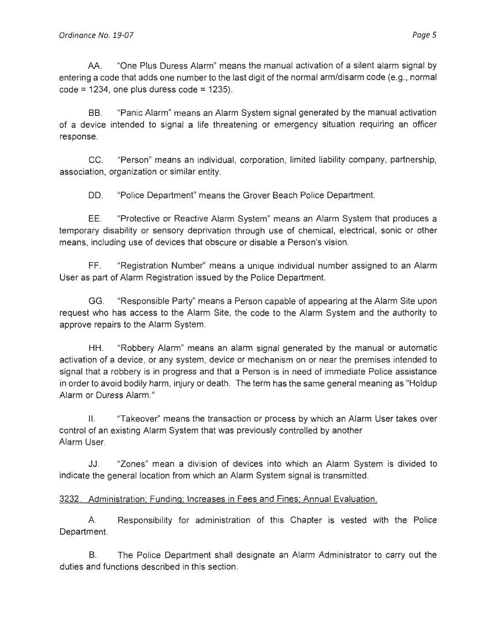AA. "One Plus Duress Alarm" means the manual activation of a silent alarm signal by entering a code that adds one number to the last digit of the normal arm/disarm code (e.g., normal  $code = 1234$ , one plus duress code = 1235).

BB. "Panic Alarm" means an Alarm System signal generated by the manual activation of a device intended to signal a life threatening or emergency situation requiring an officer response.

CC. "Person" means an individual, corporation, limited liability company, partnership, association, organization or similar entity.

DD. "Police Department" means the Grover Beach Police Department.

EE. "Protective or Reactive Alarm System" means an Alarm System that produces a temporary disability or sensory deprivation through use of chemical, electrical, sonic or other means, including use of devices that obscure or disable a Person's vision.

FF. "Registration Number" means a unique individual number assigned to an Alarm User as part of Alarm Registration issued by the Police Department.

GG. "Responsible Party" means a Person capable of appearing at the Alarm Site upon request who has access to the Alarm Site, the code to the Alarm System and the authority to approve repairs to the Alarm System.

HH. "Robbery Alarm" means an alarm signal generated by the manual or automatic activation of a device, or any system , device or mechanism on or near the premises intended to signal that a robbery is in progress and that a Person is in need of immediate Police assistance in order to avoid bodily harm, injury or death. The term has the same general meaning as "Holdup Alarm or Duress Alarm."

II. "Takeover" means the transaction or process by which an Alarm User takes over control of an existing Alarm System that was previously controlled by another Alarm User.

JJ . "Zones" mean a division of devices into which an Alarm System is divided to indicate the general location from which an Alarm System signal is transmitted.

### 3232. Administration; Funding; Increases in Fees and Fines; Annual Evaluation.

A Responsibility for administration of this Chapter is vested with the Police Department.

B. The Police Department shall designate an Alarm Administrator to carry out the duties and functions described in this section.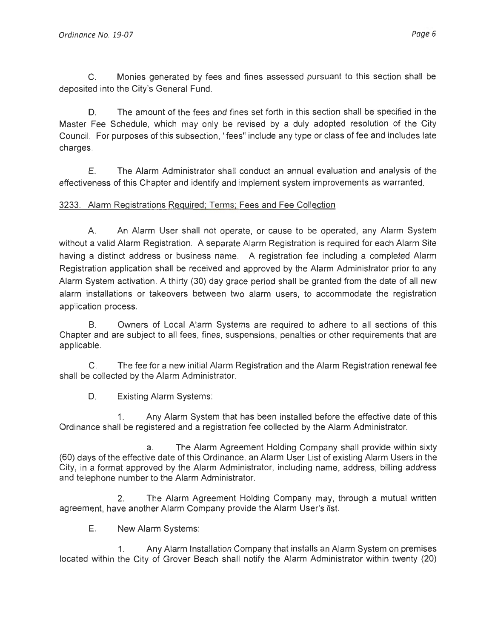C. Monies generated by fees and fines assessed pursuant to this section shall be deposited into the City's General Fund.

O. The amount of the fees and fines set forth in this section shall be specified in the Master Fee Schedule, which may only be revised by a duly adopted resolution of the City Council. For purposes of this subsection, "fees" include any type or class of fee and includes late charges .

E. The Alarm Adm inistrator shall conduct an annual evaluation and analysis of the effectiveness of this Chapter and identify and implement system improvements as warranted.

# 3233. Alarm Registrations Required; Terms; Fees and Fee Collection

A. An Alarm User shall not operate, or cause to be operated, any Alarm System without a valid Alarm Registration. A separate Alarm Registration is required for each Alarm Site having a distinct address or business name. A registration fee including a completed Alarm Registration application shall be received and approved by the Alarm Administrator prior to any Alarm System activation. A thirty (30) day grace period shall be granted from the date of all new alarm installations or takeovers between two alarm users, to accommodate the registration application process.

B. Owners of Local Alarm Systems are required to adhere to all sections of this Chapter and are subject to all fees, fines, suspensions, penalties or other requirements that are applicable.

C. The fee for a new initial Alarm Registration and the Alarm Registration renewal fee shall be collected by the Alarm Administrator.

D. Existing Alarm Systems:

1. Any Alarm System that has been installed before the effective date of this Ordinance shall be registered and a registration fee collected by the Alarm Administrator.

a. The Alarm Agreement Holding Company shall provide within sixty (60) days of the effective date of this Ordinance, an Alarm User List of existing Alarm Users in the City, in a format approved by the Alarm Administrator, including name, address , billing address and telephone number to the Alarm Administrator.

2. The Alarm Agreement Holding Company may, through a mutual written agreement, have another Alarm Company provide the Alarm User's list.

E. New Alarm Systems:

1. Any Alarm Installation Company that installs an Alarm System on premises located within the City of Grover Beach shall notify the Alarm Administrator within twenty (20)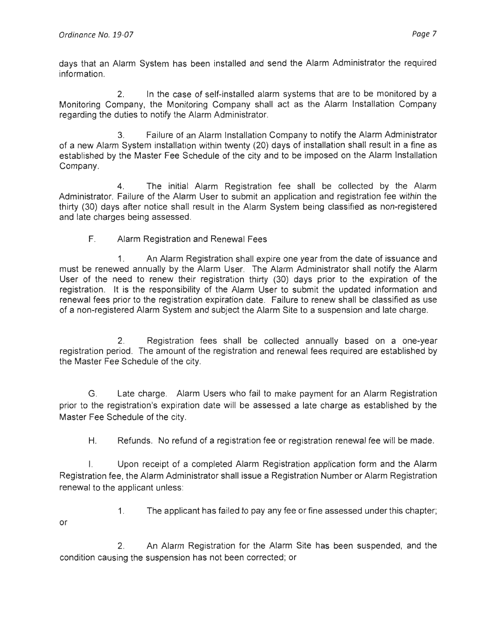days that an Alarm System has been installed and send the Alarm Administrator the required information.

2. In the case of self-installed alarm systems that are to be monitored by a Monitoring Company, the Monitoring Company shall act as the Alarm Installation Company regarding the duties to notify the Alarm Administrator.

3. Failure of an Alarm Installation Company to notify the Alarm Administrator of a new Alarm System installation within twenty (20) days of installation shall result in a fine as established by the Master Fee Schedule of the city and to be imposed on the Alarm Installation Company.

4. The initial Alarm Registration fee shall be collected by the Alarm Administrator. Failure of the Alarm User to submit an application and registration fee within the thirty (30) days after notice shall result in the Alarm System being classified as non-registered and late charges being assessed.

## F. Alarm Registration and Renewal Fees

1. An Alarm Registration shall expire one year from the date of issuance and must be renewed annually by the Alarm User. The Alarm Administrator shall notify the Alarm User of the need to renew their registration thirty (30) days prior to the expiration of the registration . It is the responsibility of the Alarm User to submit the updated information and renewal fees prior to the registration expiration date. Failure to renew shall be classified as use of a non-registered Alarm System and subject the Alarm Site to a suspension and late charge.

2. Registration fees shall be collected annually based on a one-year registration period. The amount of the registration and renewal fees required are established by the Master Fee Schedule of the city.

G. Late charge. Alarm Users who fail to make payment for an Alarm Registration prior to the registration's expiration date will be assessed a late charge as established by the Master Fee Schedule of the city.

H. Refunds. No refund of a registration fee or registration renewal fee will be made.

I. Upon receipt of a completed Alarm Registration application form and the Alarm Registration fee, the Alarm Administrator shall issue a Registration Number or Alarm Registration renewal to the applicant unless:

- or
- 1. The applicant has failed to pay any fee or fine assessed under this chapter;

2. An Alarm Registration for the Alarm Site has been suspended, and the condition causing the suspension has not been corrected; or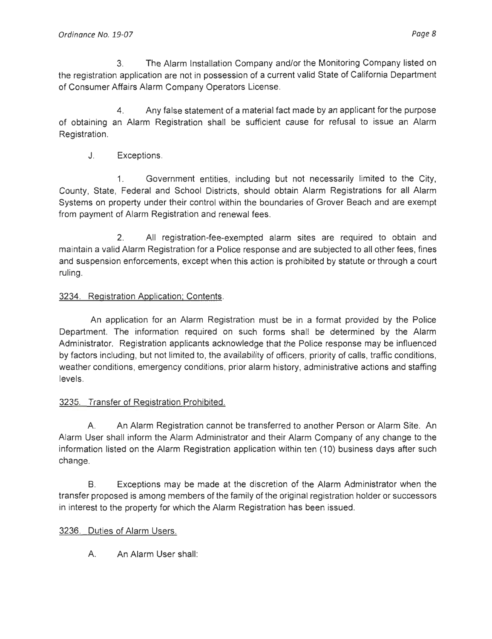3. The Alarm Installation Company and/or the Monitoring Company listed on the registration application are not in possession of a current valid State of California Department of Consumer Affairs Alarm Company Operators License.

4. Any false statement of a material fact made by an applicant for the purpose of obtaining an Alarm Registration shall be sufficient cause for refusal to issue an Alarm Registration.

J. Exceptions.

1. Government entities, including but not necessarily limited to the City, County, State, Federal and School Districts, should obtain Alarm Registrations for all Alarm Systems on property under their control within the boundaries of Grover Beach and are exempt from payment of Alarm Registration and renewal fees.

2. All registration-fee-exempted alarm sites are required to obtain and maintain a valid Alarm Registration for a Police response and are subjected to all other fees, fines and suspension enforcements, except when this action is prohibited by statute or through a court ruling.

# 3234. Registration Application; Contents.

An application for an Alarm Registration must be in a format provided by the Police Department. The information required on such forms shall be determined by the Alarm Administrator. Registration applicants acknowledge that the Police response may be influenced by factors including, but not limited to, the availability of officers, priority of calls, traffic conditions, weather conditions , emergency conditions, prior alarm history, administrative actions and staffing levels.

# 3235. Transfer of Registration Prohibited.

A. An Alarm Registration cannot be transferred to another Person or Alarm Site. An Alarm User shall inform the Alarm Administrator and their Alarm Company of any change to the information listed on the Alarm Registration application within ten (10) business days after such change.

B. Exceptions may be made at the discretion of the Alarm Administrator when the transfer proposed is among members of the family of the original registration holder or successors in interest to the property for which the Alarm Registration has been issued.

# 3236. Duties of Alarm Users.

A. An Alarm User shall: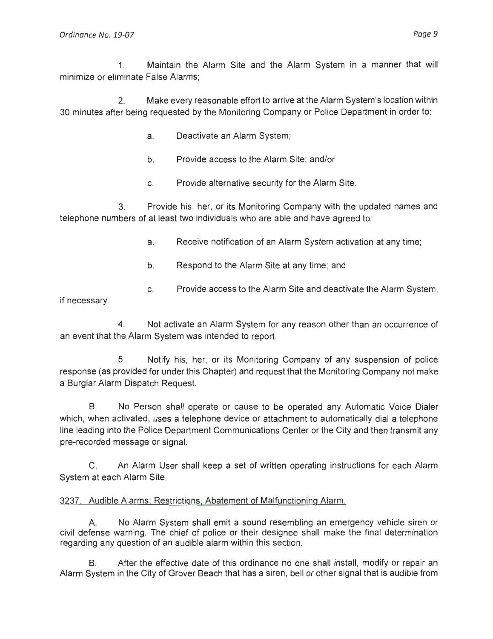1. Maintain the Alarm Site and the Alarm System in a manner that will minimize or eliminate False Alarms;

2. Make every reasonable effort to arrive at the Alarm System's location within 30 minutes after being requested by the Monitoring Company or Police Department in order to:

- a. Deactivate an Alarm System;
- b. Provide access to the Alarm Site; and/or
- c. Provide alternative security for the Alarm Site.

3. Provide his, her, or its Monitoring Company with the updated names and telephone numbers of at least two individuals who are able and have agreed to:

- a. Receive notification of an Alarm System activation at any time;
- b. Respond to the Alarm Site at any time; and
- c. Provide access to the Alarm Site and deactivate the Alarm System,

if necessary.

4. Not activate an Alarm System for any reason other than an occurrence of an event that the Alarm System was intended to report.

5. Notify his, her, or its Monitoring Company of any suspension of police response (as provided for under this Chapter) and request that the Monitoring Company not make a Burglar Alarm Dispatch Request.

B. No Person shall operate or cause to be operated any Automatic Voice Dialer which, when activated, uses a telephone device or attachment to automatically dial a telephone line leading into the Police Department Communications Center or the City and then transmit any pre-recorded message or signal.

C. An Alarm User shall keep a set of written operating instructions for each Alarm System at each Alarm Site.

### 3237. Audible Alarms; Restrictions, Abatement of Malfunctioning Alarm.

A. No Alarm System shall emit a sound resembling an emergency vehicle siren or civil defense warning. The chief of police or their designee shall make the final determination regarding any question of an audible alarm within this section.

B. After the effective date of this ordinance no one shall install, modify or repair an Alarm System in the City of Grover Beach that has a siren, bell or other signal that is audible from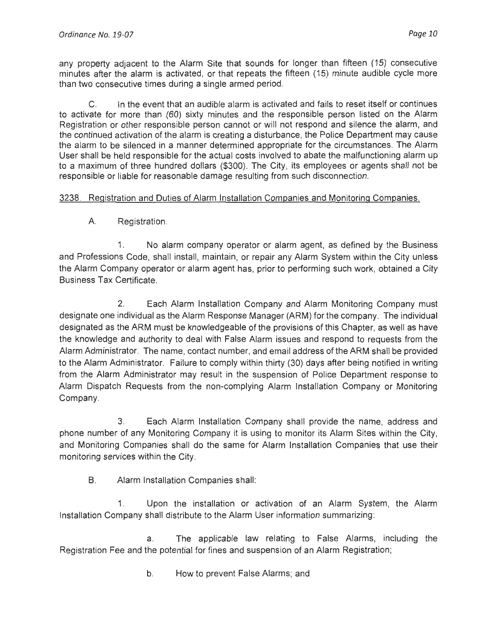any property adjacent to the Alarm Site that sounds for longer than fifteen (15) consecutive minutes after the alarm is activated, or that repeats the fifteen (15) minute audible cycle more than two consecutive times during a single armed period.

C. In the event that an audible alarm is activated and fails to reset itself or continues to activate for more than (60) sixty minutes and the responsible person listed on the Alarm Registration or other responsible person cannot or will not respond and silence the alarm, and the continued activation of the alarm is creating a disturbance, the Police Department may cause the alarm to be silenced in a manner determined appropriate for the circumstances. The Alarm User shall be held responsible for the actual costs involved to abate the malfunctioning alarm up to a maximum of three hundred dollars (\$300). The City, its employees or agents shall not be responsible or liable for reasonable damage resulting from such disconnection.

### 3238. Registration and Duties of Alarm Installation Companies and Monitoring Companies.

A. Registration.

1. No alarm company operator or alarm agent, as defined by the Business and Professions Code, shall install, maintain, or repair any Alarm System within the City unless the Alarm Company operator or alarm agent has, prior to performing such work, obtained a City Business Tax Certificate.

2. Each Alarm Installation Company and Alarm Monitoring Company must designate one individual as the Alarm Response Manager (ARM) for the company. The individual designated as the ARM must be knowledgeable of the provisions of this Chapter, as well as have the knowledge and authority to deal with False Alarm issues and respond to requests from the Alarm Administrator. The name, contact number, and email address of the ARM shall be provided to the Alarm Administrator. Failure to comply within thirty (30) days after being notified in writing from the Alarm Administrator may result in the suspension of Police Department response to Alarm Dispatch Requests from the non-complying Alarm Installation Company or Monitoring Company.

3. Each Alarm Installation Company shall provide the name, address and phone number of any Monitoring Company it is using to monitor its Alarm Sites within the City, and Monitoring Companies shall do the same for Alarm Installation Companies that use their monitoring services within the City.

B. Alarm Installation Companies shall:

1. Upon the installation or activation of an Alarm System, the Alarm Installation Company shall distribute to the Alarm User information summarizing:

a. The applicable law relating to False Alarms, including the Registration Fee and the potential for fines and suspension of an Alarm Registration;

b. How to prevent False Alarms; and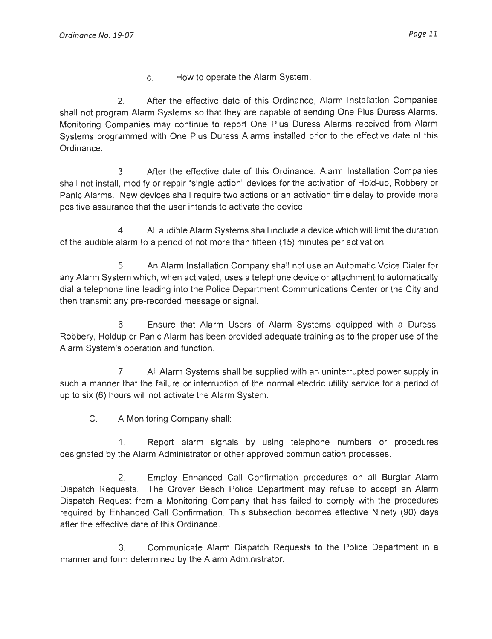c. How to operate the Alarm System.

2. After the effective date of this Ordinance, Alarm Installation Companies shall not program Alarm Systems so that they are capable of sending One Plus Duress Alarms. Monitoring Companies may continue to report One Plus Duress Alarms received from Alarm Systems programmed with One Plus Duress Alarms installed prior to the effective date of this Ordinance.

3. After the effective date of this Ordinance, Alarm Installation Companies shall not install, modify or repair "single action" devices for the activation of Hold-up, Robbery or Panic Alarms. New devices shall require two actions or an activation time delay to provide more positive assurance that the user intends to activate the device.

4. All audible Alarm Systems shall include a device which will limit the duration of the audible alarm to a period of not more than fifteen (15) minutes per activation.

5. An Alarm Installation Company shall not use an Automatic Voice Dialer for any Alarm System which, when activated, uses a telephone device or attachment to automatically dial a telephone line leading into the Police Department Communications Center or the City and then transmit any pre-recorded message or signal.

6. Ensure that Alarm Users of Alarm Systems equipped with a Duress, Robbery, Holdup or Panic Alarm has been provided adequate training as to the proper use of the Alarm System's operation and function.

7. All Alarm Systems shall be supplied with an uninterrupted power supply in such a manner that the failure or interruption of the normal electric utility service for a period of up to six (6) hours will not activate the Alarm System.

C. A Monitoring Company shall:

1. Report alarm signals by using telephone numbers or procedures designated by the Alarm Administrator or other approved communication processes.

2. Employ Enhanced Call Confirmation procedures on all Burglar Alarm Dispatch Requests. The Grover Beach Police Department may refuse to accept an Alarm Dispatch Request from a Monitoring Company that has failed to comply with the procedures required by Enhanced Call Confirmation. This subsection becomes effective Ninety (90) days after the effective date of this Ordinance.

3. Communicate Alarm Dispatch Requests to the Police Department in a manner and form determined by the Alarm Administrator.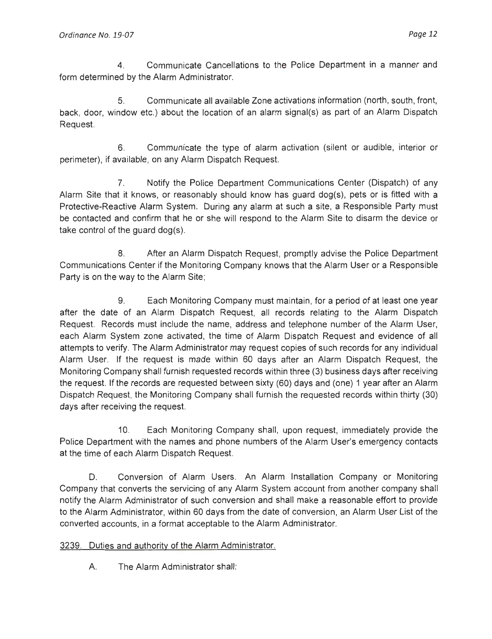4. Communicate Cancellations to the Police Department in a manner and form determined by the Alarm Administrator.

5. Communicate all available Zone activations information (north, south, front, back, door, window etc.) about the location of an alarm signal(s) as part of an Alarm Dispatch Request.

6. Communicate the type of alarm activation (silent or audible, interior or perimeter), if available, on any Alarm Dispatch Request.

7. Notify the Police Department Communications Center (Dispatch) of any Alarm Site that it knows, or reasonably should know has guard dog(s), pets or is fitted with a Protective-Reactive Alarm System. During any alarm at such a site, a Responsible Party must be contacted and confirm that he or she will respond to the Alarm Site to disarm the device or take control of the guard dog(s).

8. After an Alarm Dispatch Request, promptly advise the Police Department Communications Center if the Monitoring Company knows that the Alarm User or a Responsible Party is on the way to the Alarm Site;

9. Each Monitoring Company must maintain, for a period of at least one year after the date of an Alarm Dispatch Request, all records relating to the Alarm Dispatch Request. Records must include the name, address and telephone number of the Alarm User, each Alarm System zone activated, the time of Alarm Dispatch Request and evidence of all attempts to verify. The Alarm Administrator may request copies of such records for any individual Alarm User. If the request is made within 60 days after an Alarm Dispatch Request, the Monitoring Company shall furnish requested records within three (3) business days after receiving the request. If the records are requested between sixty (60) days and (one) 1 year after an Alarm Dispatch Request, the Monitoring Company shall furnish the requested records within thirty (30) days after receiving the request.

10. Each Monitoring Company shall, upon request, immediately provide the Police Department with the names and phone numbers of the Alarm User's emergency contacts at the time of each Alarm Dispatch Request.

D. Conversion of Alarm Users. An Alarm Installation Company or Monitoring Company that converts the servicing of any Alarm System account from another company shall notify the Alarm Administrator of such conversion and shall make a reasonable effort to provide to the Alarm Administrator, within 60 days from the date of conversion , an Alarm User List of the converted accounts, in a format acceptable to the Alarm Administrator.

# 3239. Duties and authority of the Alarm Administrator.

A. The Alarm Administrator shall: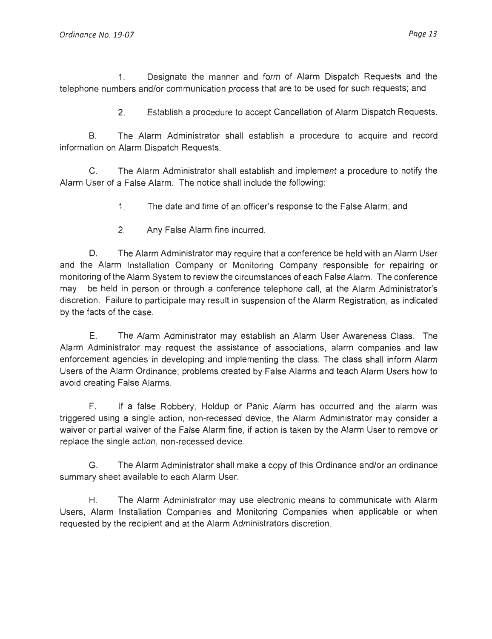1. Designate the manner and form of Alarm Dispatch Requests and the telephone numbers and/or communication process that are to be used for such requests; and

2. Establish a procedure to accept Cancellation of Alarm Dispatch Requests.

B. The Alarm Administrator shall establish a procedure to acquire and record information on Alarm Dispatch Requests.

C. The Alarm Administrator shall establish and implement a procedure to notify the Alarm User of a False Alarm. The notice shall include the following:

- 1. The date and time of an officer's response to the False Alarm ; and
- 2. Any False Alarm fine incurred.

D. The Alarm Administrator may require that a conference be held with an Alarm User and the Alarm Installation Company or Monitoring Company responsible for repairing or monitoring of the Alarm System to review the circumstances of each False Alarm. The conference may be held in person or through a conference telephone call , at the Alarm Administrator's discretion. Failure to participate may result in suspension of the Alarm Registration, as indicated by the facts of the case.

E. The Alarm Administrator may establish an Alarm User Awareness Class. The Alarm Administrator may request the assistance of associations, alarm companies and law enforcement agencies in developing and implementing the class. The class shall inform Alarm Users of the Alarm Ordinance; problems created by False Alarms and teach Alarm Users how to avoid creating False Alarms.

F. If a false Robbery, Holdup or Panic Alarm has occurred and the alarm was triggered using a single action, non-recessed device, the Alarm Administrator may consider a waiver or partial waiver of the False Alarm fine, if action is taken by the Alarm User to remove or replace the single action, non-recessed device.

G. The Alarm Administrator shall make a copy of this Ordinance and/or an ordinance summary sheet available to each Alarm User.

H. The Alarm Administrator may use electronic means to communicate with Alarm Users, Alarm Installation Companies and Monitoring Companies when applicable or when requested by the recipient and at the Alarm Administrators discretion.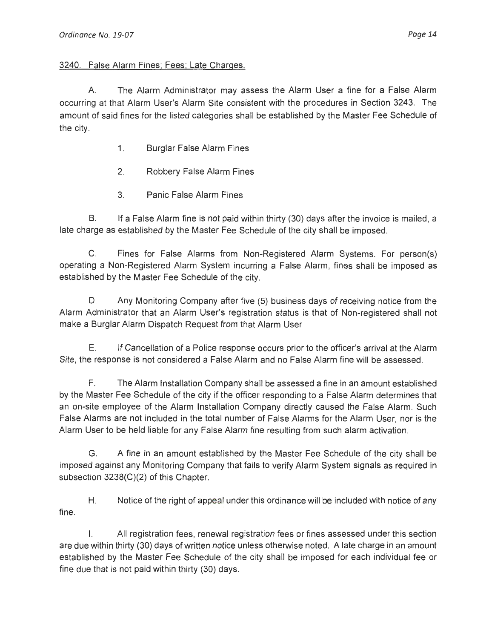#### 3240. False Alarm Fines; Fees; Late Charges.

A. The Alarm Administrator may assess the Alarm User a fine for a False Alarm occurring at that Alarm User's Alarm Site consistent with the procedures in Section 3243. The amount of said fines for the listed categories shall be established by the Master Fee Schedule of the city.

- 1. Burglar False Alarm Fines
- 2. Robbery False Alarm Fines
- 3. Panic False Alarm Fines

8. If a False Alarm fine is not paid within thirty (30) days after the invoice is mailed, a late charge as established by the Master Fee Schedule of the city shall be imposed.

C. Fines for False Alarms from Non-Registered Alarm Systems. For person(s) operating a Non-Registered Alarm System incurring a False Alarm, fines shall be imposed as established by the Master Fee Schedule of the city.

D. Any Monitoring Company after five (5) business days of receiving notice from the Alarm Administrator that an Alarm User's registration status is that of Non-registered shall not make a Burglar Alarm Dispatch Request from that Alarm User

E. If Cancellation of a Police response occurs prior to the officer's arrival at the Alarm Site, the response is not considered a False Alarm and no False Alarm fine will be assessed.

F. The Alarm Installation Company shall be assessed a fine in an amount established by the Master Fee Schedule of the city if the officer responding to a False Alarm determines that an on-site employee of the Alarm Installation Company directly caused the False Alarm. Such False Alarms are not included in the total number of False Alarms for the Alarm User, nor is the Alarm User to be held liable for any False Alarm fine resulting from such alarm activation.

G. A fine in an amount established by the Master Fee Schedule of the city shall be imposed against any Monitoring Company that fails to verify Alarm System signals as required in subsection 3238(C)(2) of this Chapter.

H. Notice of the right of appeal under this ordinance will be included with notice of any fine.

I. All registration fees , renewal registration fees or fines assessed under this section are due within thirty (30) days of written notice unless otherwise noted. A late charge in an amount established by the Master Fee Schedule of the city shall be imposed for each individual fee or fine due that is not paid within thirty (30) days.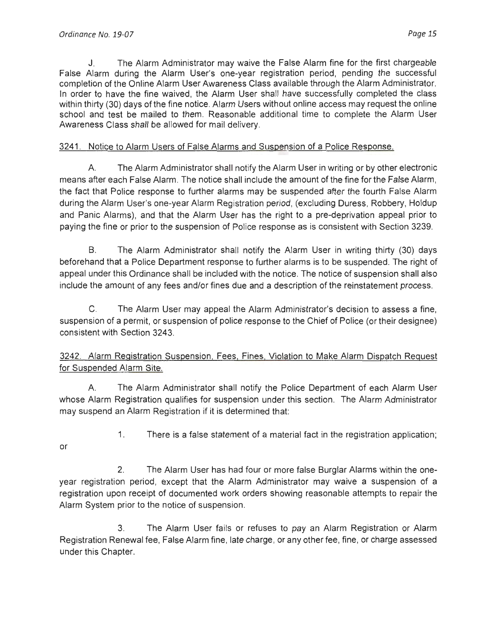J. The Alarm Administrator may waive the False Alarm fine for the first chargeable False Alarm during the Alarm User's one-year registration period, pending the successful completion of the Online Alarm User Awareness Class available through the Alarm Administrator. In order to have the fine waived, the Alarm User shall have successfully completed the class within thirty (30) days of the fine notice. Alarm Users without online access may request the online school and test be mailed to them. Reasonable additional time to complete the Alarm User Awareness Class shall be allowed for mail delivery.

## 3241 . Notice to Alarm Users of False Alarms and Suspension of a Police Response.

A. The Alarm Administrator shall notify the Alarm User in writing or by other electronic means after each False Alarm. The notice shall include the amount of the fine for the False Alarm, the fact that Police response to further alarms may be suspended after the fourth False Alarm during the Alarm User's one-year Alarm Registration period, (excluding Duress, Robbery, Holdup and Panic Alarms), and that the Alarm User has the right to a pre-deprivation appeal prior to paying the fine or prior to the suspension of Police response as is consistent with Section 3239.

B. The Alarm Administrator shall notify the Alarm User in writing thirty (30) days beforehand that a Police Department response to further alarms is to be suspended. The right of appeal under this Ordinance shall be included with the notice. The notice of suspension shall also include the amount of any fees and/or fines due and a description of the reinstatement process.

C. The Alarm User may appeal the Alarm Administrator's decision to assess a fine, suspension of a permit, or suspension of police response to the Chief of Police (or their designee) consistent with Section 3243.

# 3242. Alarm Registration Suspension, Fees. Fines, Violation to Make Alarm Dispatch Request for Suspended Alarm Site.

' A. The Alarm Administrator shall notify the Police Department of each Alarm User whose Alarm Registration qualifies for suspension under this section . The Alarm Administrator may suspend an Alarm Registration if it is determined that:

- or
- 1. There is a false statement of a material fact in the registration application;

2. The Alarm User has had four or more false Burglar Alarms within the oneyear registration period, except that the Alarm Administrator may waive a suspension of a registration upon receipt of documented work orders showing reasonable attempts to repair the Alarm System prior to the notice of suspension.

3. The Alarm User fails or refuses to pay an Alarm Registration or Alarm Registration Renewal fee, False Alarm fine, late charge, or any other fee, fine , or charge assessed under this Chapter.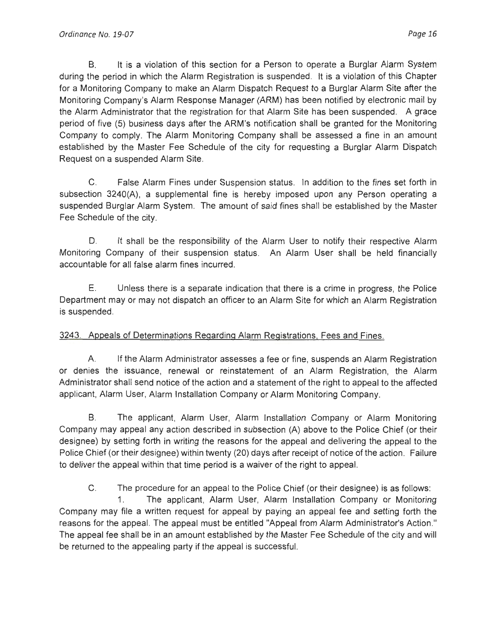B. It is a violation of this section for a Person to operate a Burglar Alarm System during the period in which the Alarm Registration is suspended. It is a violation of this Chapter for a Monitoring Company to make an Alarm Dispatch Request to a Burglar Alarm Site after the Monitoring Company's Alarm Response Manager (ARM) has been notified by electronic mail by the Alarm Administrator that the registration for that Alarm Site has been suspended. A grace period of five (5) business days after the ARM's notification shall be granted for the Monitoring Company to comply. The Alarm Monitoring Company shall be assessed a fine in an amount established by the Master Fee Schedule of the city for requesting a Burglar Alarm Dispatch Request on a suspended Alarm Site.

C. False Alarm Fines under Suspension status. In addition to the fines set forth in subsection 3240(A), a supplemental fine is hereby imposed upon any Person operating a suspended Burglar Alarm System. The amount of said fines shall be established by the Master Fee Schedule of the city.

D. It shall be the responsibility of the Alarm User to notify their respective Alarm Monitoring Company of their suspension status. An Alarm User shall be held financially accountable for all false alarm fines incurred.

E. Unless there is a separate indication that there is a crime in progress, the Police Department may or may not dispatch an officer to an Alarm Site for which an Alarm Registration is suspended.

# 3243. Appeals of Determinations Regarding Alarm Registrations, Fees and Fines.

A. If the Alarm Administrator assesses a fee or fine, suspends an Alarm Registration or denies the issuance, renewal or reinstatement of an Alarm Registration, the Alarm Administrator shall send notice of the action and a statement of the right to appeal to the affected applicant, Alarm User, Alarm Installation Company or Alarm Monitoring Company.

B. The applicant, Alarm User, Alarm Installation Company or Alarm Monitoring Company may appeal any action described in subsection (A) above to the Police Chief (or their designee) by setting forth in writing the reasons for the appeal and delivering the appeal to the Police Chief (or their designee) within twenty (20) days after receipt of notice of the action. Failure to deliver the appeal within that time period is a waiver of the right to appeal.

C. The procedure for an appeal to the Police Chief (or their designee) is as follows:

1. The applicant, Alarm User, Alarm Installation Company or Monitoring Company may file a written request for appeal by paying an appeal fee and setting forth the reasons for the appeal. The appeal must be entitled "Appeal from Alarm Administrator's Action." The appeal fee shall be in an amount established by the Master Fee Schedule of the city and will be returned to the appealing party if the appeal is successful.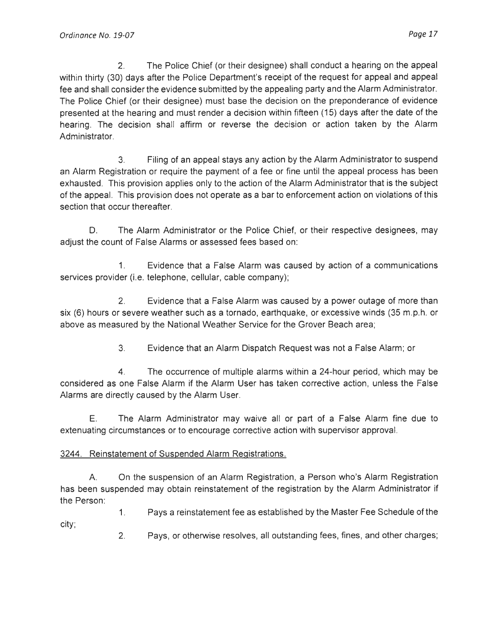2. The Police Chief (or their designee) shall conduct a hearing on the appeal within thirty (30) days after the Police Department's receipt of the request for appeal and appeal fee and shall consider the evidence submitted by the appealing party and the Alarm Administrator. The Police Chief (or their designee) must base the decision on the preponderance of evidence presented at the hearing and must render a decision within fifteen (15) days after the date of the hearing. The decision shall affirm or reverse the decision or action taken by the Alarm Administrator.

3. Filing of an appeal stays any action by the Alarm Administrator to suspend an Alarm Registration or require the payment of a fee or fine until the appeal process has been exhausted. This provision applies only to the action of the Alarm Administrator that is the subject of the appeal. This provision does not operate as a bar to enforcement action on violations of this section that occur thereafter.

D. The Alarm Administrator or the Police Chief, or their respective designees, may adjust the count of False Alarms or assessed fees based on:

1. Evidence that a False Alarm was caused by action of a communications services provider (i.e. telephone, cellular, cable company);

2. Evidence that a False Alarm was caused by a power outage of more than six (6) hours or severe weather such as a tornado, earthquake, or excessive winds (35 m.p.h. or above as measured by the National Weather Service for the Grover Beach area;

3. Evidence that an Alarm Dispatch Request was not a False Alarm; or

4. The occurrence of multiple alarms within a 24-hour period, which may be considered as one False Alarm if the Alarm User has taken corrective action, unless the False Alarms are directly caused by the Alarm User.

E. The Alarm Administrator may waive all or part of a False Alarm fine due to extenuating circumstances or to encourage corrective action with supervisor approval.

### 3244. Reinstatement of Suspended Alarm Registrations.

A. On the suspension of an Alarm Registration , a Person who's Alarm Registration has been suspended may obtain reinstatement of the registration by the Alarm Administrator if the Person:

1. Pays a reinstatement fee as established by the Master Fee Schedule of the city;

2. Pays, or otherwise resolves , all outstanding fees, fines, and other charges;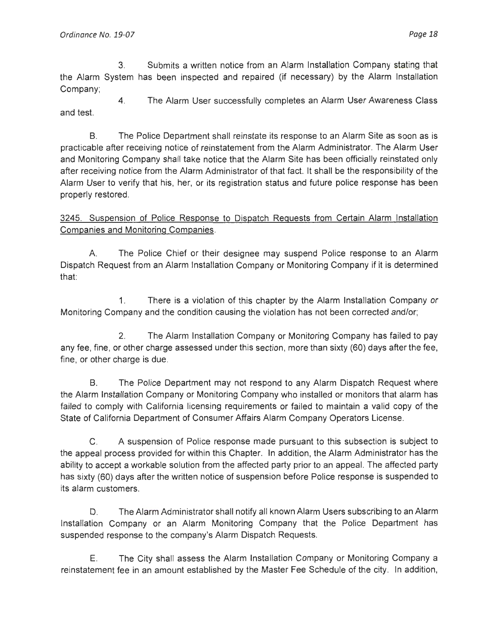3. Submits a written notice from an Alarm Installation Company stating that the Alarm System has been inspected and repaired (if necessary) by the Alarm Installation Company;

4. The Alarm User successfully completes an Alarm User Awareness Class and test.

8. The Police Department shall reinstate its response to an Alarm Site as soon as is practicable after receiving notice of reinstatement from the Alarm Administrator. The Alarm User and Monitoring Company shall take notice that the Alarm Site has been officially reinstated only after receiving notice from the Alarm Administrator of that fact. It shall be the responsibility of the Alarm User to verify that his, her, or its registration status and future police response has been properly restored.

3245. Suspension of Police Response to Dispatch Requests from Certain Alarm Installation Companies and Monitoring Companies.

A. The Police Chief or their designee may suspend Police response to an Alarm Dispatch Request from an Alarm Installation Company or Monitoring Company if it is determined that:

1. There is a violation of this chapter by the Alarm Installation Company or Monitoring Company and the condition causing the violation has not been corrected and/or;

2. The Alarm Installation Company or Monitoring Company has failed to pay any fee, fine, or other charge assessed under this section, more than sixty (60) days after the fee, fine, or other charge is due.

B. The Police Department may not respond to any Alarm Dispatch Request where the Alarm Installation Company or Monitoring Company who installed or monitors that alarm has failed to comply with California licensing requirements or failed to maintain a valid copy of the State of California Department of Consumer Affairs Alarm Company Operators License.

C. A suspension of Police response made pursuant to this subsection is subject to the appeal process provided for within this Chapter. In addition, the Alarm Administrator has the ability to accept a workable solution from the affected party prior to an appeal. The affected party has sixty (60) days after the written notice of suspension before Police response is suspended to its alarm customers.

D. The Alarm Administrator shall notify all known Alarm Users subscribing to an Alarm Installation Company or an Alarm Monitoring Company that the Police Department has suspended response to the company's Alarm Dispatch Requests.

E. The City shall assess the Alarm Installation Company or Monitoring Company a reinstatement fee in an amount established by the Master Fee Schedule of the city. In addition,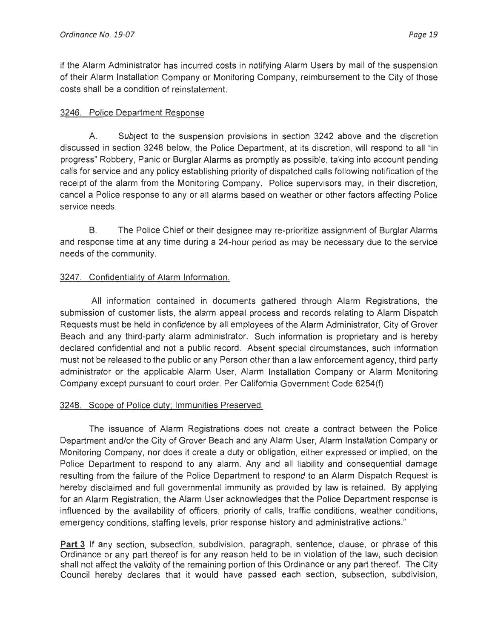if the Alarm Administrator has incurred costs in notifying Alarm Users by mail of the suspension of their Alarm Installation Company or Monitoring Company, reimbursement to the City of those costs shall be a condition of reinstatement.

### 3246. Police Department Response

A. Subject to the suspension provisions in section 3242 above and the discretion discussed in section 3248 below, the Police Department, at its discretion, will respond to all "in progress" Robbery, Panic or Burglar Alarms as promptly as possible, taking into account pending calls for service and any policy establishing priority of dispatched calls following notification of the receipt of the alarm from the Monitoring Company. Police supervisors may, in their discretion, cancel a Police response to any or all alarms based on weather or other factors affecting Police service needs.

B. The Police Chief or their designee may re-prioritize assignment of Burglar Alarms and response time at any time during a 24-hour period as may be necessary due to the service needs of the community.

## 3247. Confidentiality of Alarm Information.

All information contained in documents gathered through Alarm Registrations, the submission of customer lists, the alarm appeal process and records relating to Alarm Dispatch Requests must be held in confidence by all employees of the Alarm Administrator, City of Grover Beach and any third-party alarm administrator. Such information is proprietary and is hereby declared confidential and not a public record. Absent special circumstances, such information must not be released to the public or any Person other than a law enforcement agency, third party administrator or the applicable Alarm User, Alarm Installation Company or Alarm Monitoring Company except pursuant to court order. Per California Government Code 6254(f)

### 3248. Scope of Police duty; Immunities Preserved.

The issuance of Alarm Registrations does not create a contract between the Police Department and/or the City of Grover Beach and any Alarm User, Alarm Installation Company or Monitoring Company, nor does it create a duty or obligation, either expressed or implied, on the Police Department to respond to any alarm. Any and all liability and consequential damage resulting from the failure of the Police Department to respond to an Alarm Dispatch Request is hereby disclaimed and full governmental immunity as provided by law is retained. By applying for an Alarm Registration, the Alarm User acknowledges that the Police Department response is influenced by the availability of officers, priority of calls, traffic conditions, weather conditions, emergency conditions, staffing levels, prior response history and administrative actions."

**Part** 3 If any section, subsection, subdivision, paragraph, sentence, clause, or phrase of this Ordinance or any part thereof is for any reason held to be in violation of the law, such decision shall not affect the validity of the remaining portion of this Ordinance or any part thereof. The City Council hereby declares that it would have passed each section, subsection, subdivision,